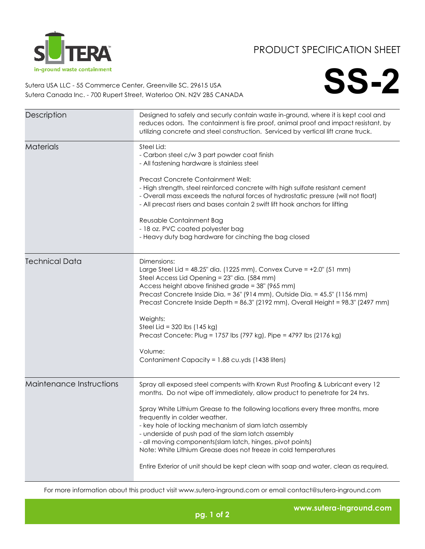

## PRODUCT SPECIFICATION SHEET

**SS-2**

Sutera USA LLC - 55 Commerce Center, Greenville SC. 29615 USA Sutera Canada Inc. - 700 Rupert Street, Waterloo ON. N2V 2B5 CANADA

| Description              | Designed to safely and securly contain waste in-ground, where it is kept cool and<br>reduces odors. The containment is fire proof, animal proof and impact resistant, by<br>utilizing concrete and steel construction. Serviced by vertical lift crane truck.                                                                                                                                                                                                                                                                                                                                                             |
|--------------------------|---------------------------------------------------------------------------------------------------------------------------------------------------------------------------------------------------------------------------------------------------------------------------------------------------------------------------------------------------------------------------------------------------------------------------------------------------------------------------------------------------------------------------------------------------------------------------------------------------------------------------|
| <b>Materials</b>         | Steel Lid:<br>- Carbon steel c/w 3 part powder coat finish<br>- All fastening hardware is stainless steel<br>Precast Concrete Containment Well:<br>- High strength, steel reinforced concrete with high sulfate resistant cement<br>- Overall mass exceeds the natural forces of hydrostatic pressure (will not float)<br>- All precast risers and bases contain 2 swift lift hook anchors for lifting<br>Reusable Containment Bag<br>- 18 oz. PVC coated polyester bag<br>- Heavy duty bag hardware for cinching the bag closed                                                                                          |
| <b>Technical Data</b>    | Dimensions:<br>Large Steel Lid = $48.25$ " dia. (1225 mm), Convex Curve = $+2.0$ " (51 mm)<br>Steel Access Lid Opening = 23" dia. (584 mm)<br>Access height above finished grade = 38" (965 mm)<br>Precast Concrete Inside Dia. = 36" (914 mm), Outside Dia. = 45.5" (1156 mm)<br>Precast Concrete Inside Depth = 86.3" (2192 mm), Overall Height = 98.3" (2497 mm)<br>Weights:<br>Steel Lid = $320$ lbs (145 kg)<br>Precast Concete: Plug = 1757 lbs (797 kg), Pipe = 4797 lbs (2176 kg)<br>Volume:<br>Contaniment Capacity = 1.88 cu.yds (1438 liters)                                                                  |
| Maintenance Instructions | Spray all exposed steel compents with Krown Rust Proofing & Lubricant every 12<br>months. Do not wipe off immediately, allow product to penetrate for 24 hrs.<br>Spray White Lithium Grease to the following locations every three months, more<br>frequently in colder weather.<br>- key hole of locking mechanism of slam latch assembly<br>- underside of push pad of the slam latch assembly<br>- all moving components (slam latch, hinges, pivot points)<br>Note: White Lithium Grease does not freeze in cold temperatures<br>Entire Exterior of unit should be kept clean with soap and water, clean as required. |

For more information about this product visit www.sutera-inground.com or email contact@sutera-inground.com